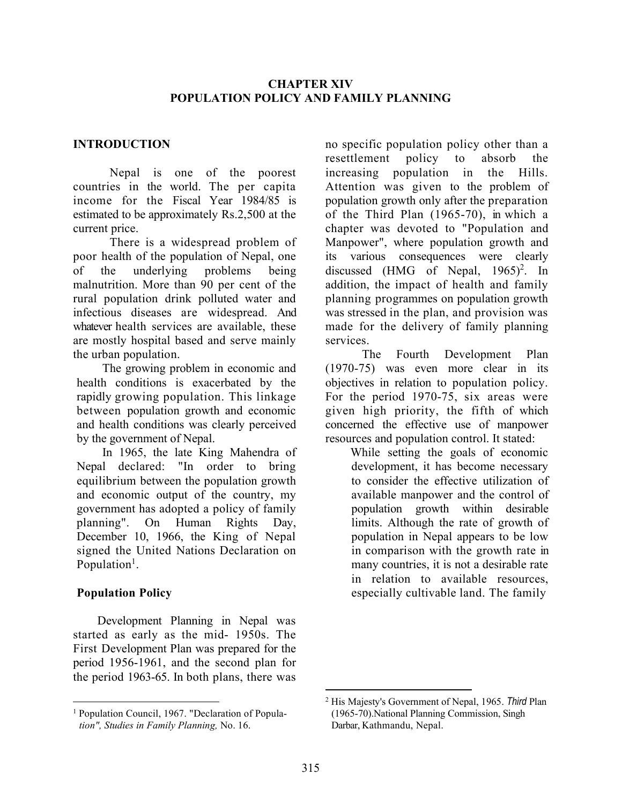### CHAPTER XIV POPULATION POLICY AND FAMILY PLANNING

## INTRODUCTION

Nepal is one of the poorest countries in the world. The per capita income for the Fiscal Year 1984/85 is estimated to be approximately Rs.2,500 at the current price.

There is a widespread problem of poor health of the population of Nepal, one of the underlying problems being malnutrition. More than 90 per cent of the rural population drink polluted water and infectious diseases are widespread. And whatever health services are available, these are mostly hospital based and serve mainly the urban population.

The growing problem in economic and health conditions is exacerbated by the rapidly growing population. This linkage between population growth and economic and health conditions was clearly perceived by the government of Nepal.

In 1965, the late King Mahendra of Nepal declared: "In order to bring equilibrium between the population growth and economic output of the country, my government has adopted a policy of family planning". On Human Rights Day, December 10, 1966, the King of Nepal signed the United Nations Declaration on Population<sup>1</sup>.

## Population Policy

 Development Planning in Nepal was started as early as the mid- 1950s. The First Development Plan was prepared for the period 1956-1961, and the second plan for the period 1963-65. In both plans, there was

no specific population policy other than a resettlement policy to absorb the increasing population in the Hills. Attention was given to the problem of population growth only after the preparation of the Third Plan (1965-70), in which a chapter was devoted to "Population and Manpower", where population growth and its various consequences were clearly discussed (HMG of Nepal,  $1965$ )<sup>2</sup>. In addition, the impact of health and family planning programmes on population growth was stressed in the plan, and provision was made for the delivery of family planning services.

The Fourth Development Plan (1970-75) was even more clear in its objectives in relation to population policy. For the period 1970-75, six areas were given high priority, the fifth of which concerned the effective use of manpower resources and population control. It stated:

> While setting the goals of economic development, it has become necessary to consider the effective utilization of available manpower and the control of population growth within desirable limits. Although the rate of growth of population in Nepal appears to be low in comparison with the growth rate in many countries, it is not a desirable rate in relation to available resources, especially cultivable land. The family

<sup>&</sup>lt;sup>1</sup> Population Council, 1967. "Declaration of Population", Studies in Family Planning, No. 16.

<sup>&</sup>lt;sup>2</sup> His Majesty's Government of Nepal, 1965. Third Plan (1965-70).National Planning Commission, Singh Darbar, Kathmandu, Nepal.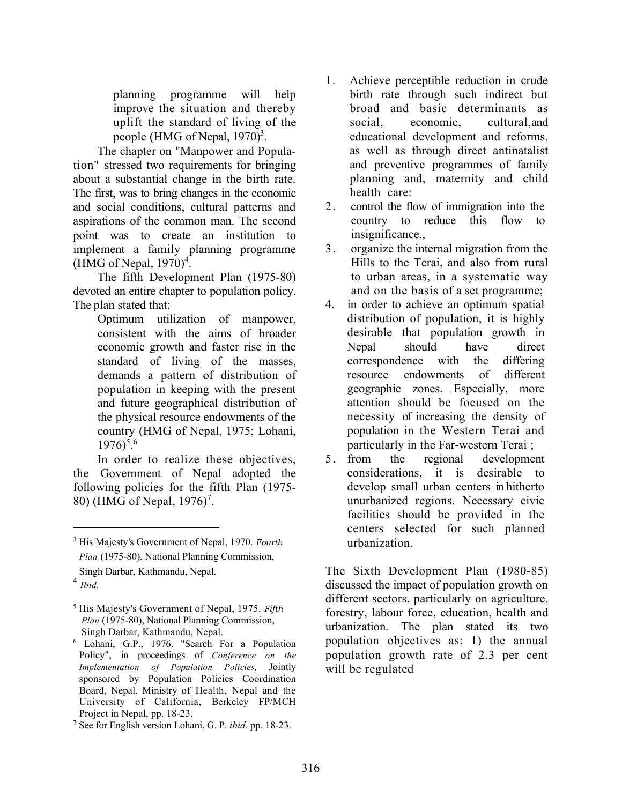planning programme will help improve the situation and thereby uplift the standard of living of the people (HMG of Nepal,  $1970)^3$ .

 The chapter on "Manpower and Population" stressed two requirements for bringing about a substantial change in the birth rate. The first, was to bring changes in the economic and social conditions, cultural patterns and aspirations of the common man. The second point was to create an institution to implement a family planning programme  $(HMG of Nepal, 1970)^4$ .

 The fifth Development Plan (1975-80) devoted an entire chapter to population policy. The plan stated that:

> Optimum utilization of manpower, consistent with the aims of broader economic growth and faster rise in the standard of living of the masses, demands a pattern of distribution of population in keeping with the present and future geographical distribution of the physical resource endowments of the country (HMG of Nepal, 1975; Lohani,  $1976$ <sup>5.6</sup>

 In order to realize these objectives, the Government of Nepal adopted the following policies for the fifth Plan (1975- 80) (HMG of Nepal, 1976)<sup>7</sup>.

- 1. Achieve perceptible reduction in crude birth rate through such indirect but broad and basic determinants as social, economic, cultural,and educational development and reforms, as well as through direct antinatalist and preventive programmes of family planning and, maternity and child health care:
- 2. control the flow of immigration into the country to reduce this flow to insignificance.,
- 3 . organize the internal migration from the Hills to the Terai, and also from rural to urban areas, in a systematic way and on the basis of a set programme;
- 4. in order to achieve an optimum spatial distribution of population, it is highly desirable that population growth in Nepal should have direct correspondence with the differing resource endowments of different geographic zones. Especially, more attention should be focused on the necessity of increasing the density of population in the Western Terai and particularly in the Far-western Terai ;
- 5. from the regional development considerations, it is desirable to develop small urban centers in hitherto unurbanized regions. Necessary civic facilities should be provided in the centers selected for such planned urbanization.

The Sixth Development Plan (1980-85) discussed the impact of population growth on different sectors, particularly on agriculture, forestry, labour force, education, health and urbanization. The plan stated its two population objectives as: 1) the annual population growth rate of 2.3 per cent will be regulated

<sup>&</sup>lt;sup>3</sup> His Majesty's Government of Nepal, 1970. Fourth Plan (1975-80), National Planning Commission, Singh Darbar, Kathmandu, Nepal.

 $<sup>4</sup>$  Ibid.</sup>

 $<sup>5</sup>$  His Majesty's Government of Nepal, 1975. Fifth</sup> Plan (1975-80), National Planning Commission, Singh Darbar, Kathmandu, Nepal.

<sup>6</sup> Lohani, G.P., 1976. "Search For a Population Policy", in proceedings of Conference on the Implementation of Population Policies, Jointly sponsored by Population Policies Coordination Board, Nepal, Ministry of Health, Nepal and the University of California, Berkeley FP/MCH Project in Nepal, pp. 18-23.

<sup>&</sup>lt;sup>7</sup> See for English version Lohani, G. P. ibid. pp. 18-23.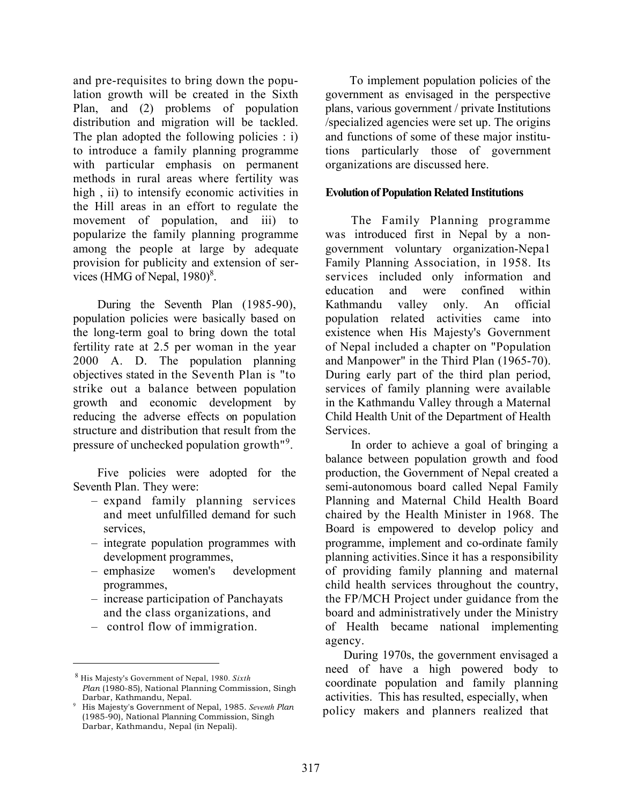and pre-requisites to bring down the population growth will be created in the Sixth Plan, and (2) problems of population distribution and migration will be tackled. The plan adopted the following policies : i) to introduce a family planning programme with particular emphasis on permanent methods in rural areas where fertility was high , ii) to intensify economic activities in the Hill areas in an effort to regulate the movement of population, and iii) to popularize the family planning programme among the people at large by adequate provision for publicity and extension of services (HMG of Nepal,  $1980$ )<sup>8</sup>.

 During the Seventh Plan (1985-90), population policies were basically based on the long-term goal to bring down the total fertility rate at 2.5 per woman in the year 2000 A. D. The population planning objectives stated in the Seventh Plan is "to strike out a balance between population growth and economic development by reducing the adverse effects on population structure and distribution that result from the pressure of unchecked population growth<sup>"9</sup>.

 Five policies were adopted for the Seventh Plan. They were:

- expand family planning services and meet unfulfilled demand for such services,
- integrate population programmes with development programmes,
- emphasize women's development programmes,
- increase participation of Panchayats and the class organizations, and
- control flow of immigration.

 To implement population policies of the government as envisaged in the perspective plans, various government / private Institutions /specialized agencies were set up. The origins and functions of some of these major institutions particularly those of government organizations are discussed here.

#### Evolution of Population Related Institutions

The Family Planning programme was introduced first in Nepal by a nongovernment voluntary organization-Nepa1 Family Planning Association, in 1958. Its services included only information and education and were confined within Kathmandu valley only. An official population related activities came into existence when His Majesty's Government of Nepal included a chapter on "Population and Manpower" in the Third Plan (1965-70). During early part of the third plan period, services of family planning were available in the Kathmandu Valley through a Maternal Child Health Unit of the Department of Health Services.

In order to achieve a goal of bringing a balance between population growth and food production, the Government of Nepal created a semi-autonomous board called Nepal Family Planning and Maternal Child Health Board chaired by the Health Minister in 1968. The Board is empowered to develop policy and programme, implement and co-ordinate family planning activities.Since it has a responsibility of providing family planning and maternal child health services throughout the country, the FP/MCH Project under guidance from the board and administratively under the Ministry of Health became national implementing agency.

 During 1970s, the government envisaged a need of have a high powered body to coordinate population and family planning activities. This has resulted, especially, when policy makers and planners realized that

 $8$  His Majesty's Government of Nepal, 1980. Sixth Plan (1980-85), National Planning Commission, Singh Darbar, Kathmandu, Nepal.

<sup>9</sup> His Majesty's Government of Nepal, 1985. Seventh Plan (1985-90), National Planning Commission, Singh Darbar, Kathmandu, Nepal (in Nepali).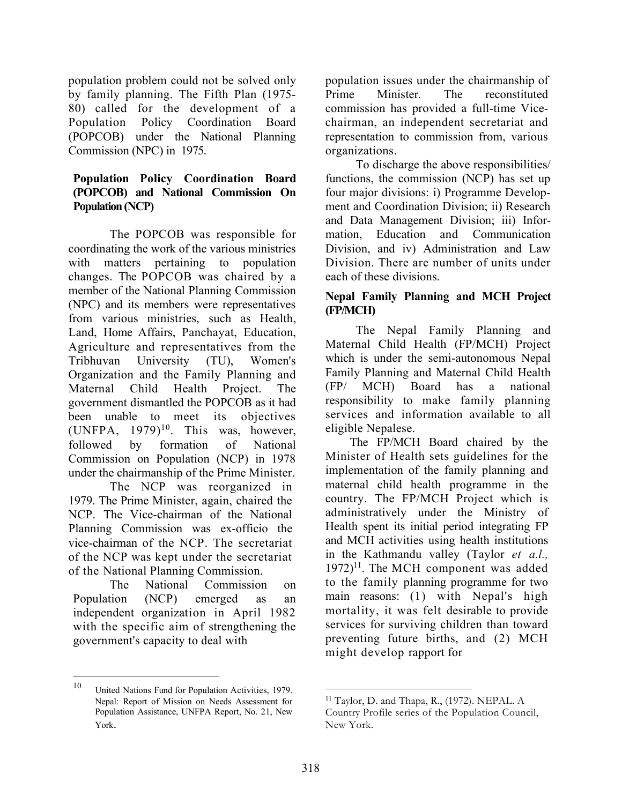population problem could not be solved only by family planning. The Fifth Plan (1975- 80) called for the development of a Population Policy Coordination Board (POPCOB) under the National Planning Commission (NPC) in 1975.

## Population Policy Coordination Board (POPCOB) and National Commission On Population (NCP)

The POPCOB was responsible for coordinating the work of the various ministries with matters pertaining to population changes. The POPCOB was chaired by a member of the National Planning Commission (NPC) and its members were representatives from various ministries, such as Health, Land, Home Affairs, Panchayat, Education, Agriculture and representatives from the Tribhuvan University (TU), Women's Organization and the Family Planning and Maternal Child Health Project. The government dismantled the POPCOB as it had been unable to meet its objectives  $(UNFPA, 1979)^{10}$ . This was, however, followed by formation of National Commission on Population (NCP) in 1978 under the chairmanship of the Prime Minister.

The NCP was reorganized in 1979. The Prime Minister, again, chaired the NCP. The Vice-chairman of the National Planning Commission was ex-officio the vice-chairman of the NCP. The secretariat of the NCP was kept under the secretariat of the National Planning Commission.

The National Commission on Population (NCP) emerged as an independent organization in April 1982 with the specific aim of strengthening the government's capacity to deal with

population issues under the chairmanship of Prime Minister. The reconstituted commission has provided a full-time Vicechairman, an independent secretariat and representation to commission from, various organizations.

To discharge the above responsibilities/ functions, the commission (NCP) has set up four major divisions: i) Programme Development and Coordination Division; ii) Research and Data Management Division; iii) Information, Education and Communication Division, and iv) Administration and Law Division. There are number of units under each of these divisions.

# Nepal Family Planning and MCH Project (FP/MCH)

The Nepal Family Planning and Maternal Child Health (FP/MCH) Project which is under the semi-autonomous Nepal Family Planning and Maternal Child Health (FP/ MCH) Board has a national responsibility to make family planning services and information available to all eligible Nepalese.

The FP/MCH Board chaired by the Minister of Health sets guidelines for the implementation of the family planning and maternal child health programme in the country. The FP/MCH Project which is administratively under the Ministry of Health spent its initial period integrating FP and MCH activities using health institutions in the Kathmandu valley (Taylor et a.l.,  $1972$ <sup>11</sup>. The MCH component was added to the family planning programme for two main reasons: (1) with Nepal's high mortality, it was felt desirable to provide services for surviving children than toward preventing future births, and (2) MCH might develop rapport for

<sup>10</sup> United Nations Fund for Population Activities, 1979. Nepal: Report of Mission on Needs Assessment for Population Assistance, UNFPA Report, No. 21, New York.

<sup>11</sup> Taylor, D. and Thapa, R., (1972). NEPAL. A Country Profile series of the Population Council, New York.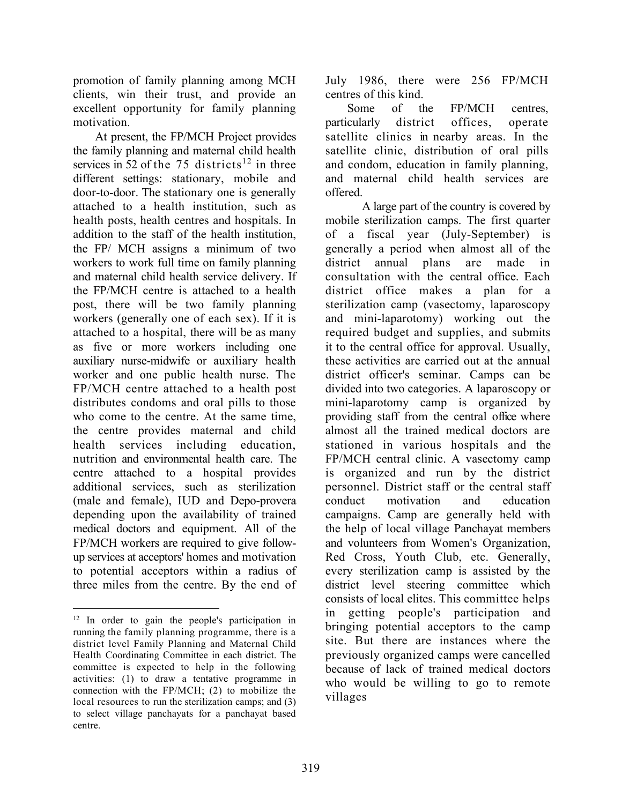promotion of family planning among MCH clients, win their trust, and provide an excellent opportunity for family planning motivation.

At present, the FP/MCH Project provides the family planning and maternal child health services in 52 of the 75 districts<sup>12</sup> in three different settings: stationary, mobile and door-to-door. The stationary one is generally attached to a health institution, such as health posts, health centres and hospitals. In addition to the staff of the health institution, the FP/ MCH assigns a minimum of two workers to work full time on family planning and maternal child health service delivery. If the FP/MCH centre is attached to a health post, there will be two family planning workers (generally one of each sex). If it is attached to a hospital, there will be as many as five or more workers including one auxiliary nurse-midwife or auxiliary health worker and one public health nurse. The FP/MCH centre attached to a health post distributes condoms and oral pills to those who come to the centre. At the same time, the centre provides maternal and child health services including education, nutrition and environmental health care. The centre attached to a hospital provides additional services, such as sterilization (male and female), IUD and Depo-provera depending upon the availability of trained medical doctors and equipment. All of the FP/MCH workers are required to give followup services at acceptors' homes and motivation to potential acceptors within a radius of three miles from the centre. By the end of July 1986, there were 256 FP/MCH centres of this kind.

Some of the FP/MCH centres, particularly district offices, operate satellite clinics in nearby areas. In the satellite clinic, distribution of oral pills and condom, education in family planning, and maternal child health services are offered.

A large part of the country is covered by mobile sterilization camps. The first quarter of a fiscal year (July-September) is generally a period when almost all of the district annual plans are made in consultation with the central office. Each district office makes a plan for a sterilization camp (vasectomy, laparoscopy and mini-laparotomy) working out the required budget and supplies, and submits it to the central office for approval. Usually, these activities are carried out at the annual district officer's seminar. Camps can be divided into two categories. A laparoscopy or mini-laparotomy camp is organized by providing staff from the central office where almost all the trained medical doctors are stationed in various hospitals and the FP/MCH central clinic. A vasectomy camp is organized and run by the district personnel. District staff or the central staff conduct motivation and education campaigns. Camp are generally held with the help of local village Panchayat members and volunteers from Women's Organization, Red Cross, Youth Club, etc. Generally, every sterilization camp is assisted by the district level steering committee which consists of local elites. This committee helps in getting people's participation and bringing potential acceptors to the camp site. But there are instances where the previously organized camps were cancelled because of lack of trained medical doctors who would be willing to go to remote villages

<sup>&</sup>lt;sup>12</sup> In order to gain the people's participation in running the family planning programme, there is a district level Family Planning and Maternal Child Health Coordinating Committee in each district. The committee is expected to help in the following activities: (1) to draw a tentative programme in connection with the FP/MCH; (2) to mobilize the local resources to run the sterilization camps; and (3) to select village panchayats for a panchayat based centre.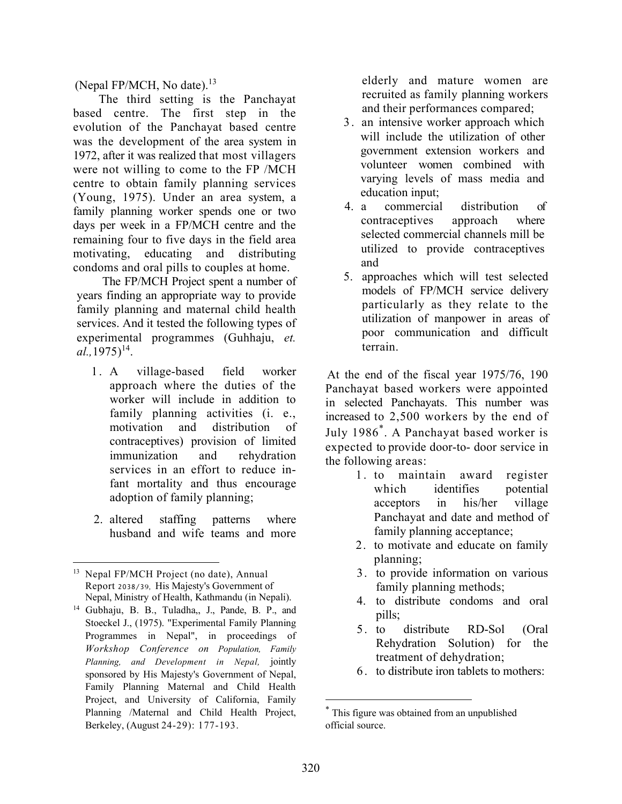(Nepal FP/MCH, No date). $^{13}$ 

The third setting is the Panchayat based centre. The first step in the evolution of the Panchayat based centre was the development of the area system in 1972, after it was realized that most villagers were not willing to come to the FP /MCH centre to obtain family planning services (Young, 1975). Under an area system, a family planning worker spends one or two days per week in a FP/MCH centre and the remaining four to five days in the field area motivating, educating and distributing condoms and oral pills to couples at home.

The FP/MCH Project spent a number of years finding an appropriate way to provide family planning and maternal child health services. And it tested the following types of experimental programmes (Guhhaju, et.  $al., 1975)^{14}.$ 

- 1. A village-based field worker approach where the duties of the worker will include in addition to family planning activities (i. e., motivation and distribution of contraceptives) provision of limited immunization and rehydration services in an effort to reduce infant mortality and thus encourage adoption of family planning;
- 2. altered staffing patterns where husband and wife teams and more

elderly and mature women are recruited as family planning workers and their performances compared;

- 3 . an intensive worker approach which will include the utilization of other government extension workers and volunteer women combined with varying levels of mass media and education input;
- 4. a commercial distribution of contraceptives approach where selected commercial channels mill be utilized to provide contraceptives and
- 5. approaches which will test selected models of FP/MCH service delivery particularly as they relate to the utilization of manpower in areas of poor communication and difficult terrain.

At the end of the fiscal year 1975/76, 190 Panchayat based workers were appointed in selected Panchayats. This number was increased to 2,500 workers by the end of July 1986\* . A Panchayat based worker is expected to provide door-to- door service in the following areas:

- 1 . to maintain award register which identifies potential acceptors in his/her village Panchayat and date and method of family planning acceptance;
- 2. to motivate and educate on family planning;
- 3. to provide information on various family planning methods;
- 4. to distribute condoms and oral pills;
- 5. to distribute RD-Sol (Oral Rehydration Solution) for the treatment of dehydration;
- 6 . to distribute iron tablets to mothers:

<sup>&</sup>lt;sup>13</sup> Nepal FP/MCH Project (no date), Annual Report 2038/39, His Majesty's Government of Nepal, Ministry of Health, Kathmandu (in Nepali).

<sup>14</sup> Gubhaju, B. B., Tuladha,, J., Pande, B. P., and Stoeckel J., (1975). "Experimental Family Planning Programmes in Nepal", in proceedings of Workshop Conference on Population, Family Planning, and Development in Nepal, jointly sponsored by His Majesty's Government of Nepal, Family Planning Maternal and Child Health Project, and University of California, Family Planning /Maternal and Child Health Project, Berkeley, (August 24-29): 177-193.

<sup>\*</sup> This figure was obtained from an unpublished official source.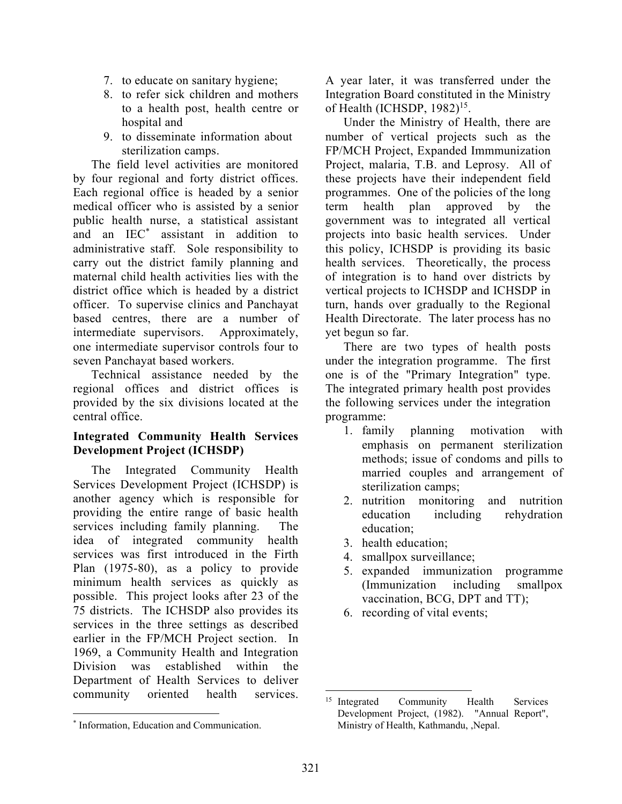- 7. to educate on sanitary hygiene;
- 8. to refer sick children and mothers to a health post, health centre or hospital and
- 9. to disseminate information about sterilization camps.

 The field level activities are monitored by four regional and forty district offices. Each regional office is headed by a senior medical officer who is assisted by a senior public health nurse, a statistical assistant and an IEC\* assistant in addition to administrative staff. Sole responsibility to carry out the district family planning and maternal child health activities lies with the district office which is headed by a district officer. To supervise clinics and Panchayat based centres, there are a number of intermediate supervisors. Approximately, one intermediate supervisor controls four to seven Panchayat based workers.

 Technical assistance needed by the regional offices and district offices is provided by the six divisions located at the central office.

#### Integrated Community Health Services Development Project (ICHSDP)

 The Integrated Community Health Services Development Project (ICHSDP) is another agency which is responsible for providing the entire range of basic health services including family planning. The idea of integrated community health services was first introduced in the Firth Plan (1975-80), as a policy to provide minimum health services as quickly as possible. This project looks after 23 of the 75 districts. The ICHSDP also provides its services in the three settings as described earlier in the FP/MCH Project section. In 1969, a Community Health and Integration Division was established within the Department of Health Services to deliver community oriented health services.

A year later, it was transferred under the Integration Board constituted in the Ministry of Health (ICHSDP,  $1982$ )<sup>15</sup>.

 Under the Ministry of Health, there are number of vertical projects such as the FP/MCH Project, Expanded Immmunization Project, malaria, T.B. and Leprosy. All of these projects have their independent field programmes. One of the policies of the long term health plan approved by the government was to integrated all vertical projects into basic health services. Under this policy, ICHSDP is providing its basic health services. Theoretically, the process of integration is to hand over districts by vertical projects to ICHSDP and ICHSDP in turn, hands over gradually to the Regional Health Directorate. The later process has no yet begun so far.

 There are two types of health posts under the integration programme. The first one is of the "Primary Integration" type. The integrated primary health post provides the following services under the integration programme:

- 1. family planning motivation with emphasis on permanent sterilization methods; issue of condoms and pills to married couples and arrangement of sterilization camps;
- 2. nutrition monitoring and nutrition education including rehydration education;
- 3. health education;
- 4. smallpox surveillance;
- 5. expanded immunization programme (Immunization including smallpox vaccination, BCG, DPT and TT);
- 6. recording of vital events;

<sup>\*</sup> Information, Education and Communication.

<sup>&</sup>lt;sup>15</sup> Integrated Community Health Services Development Project, (1982). "Annual Report", Ministry of Health, Kathmandu, ,Nepal.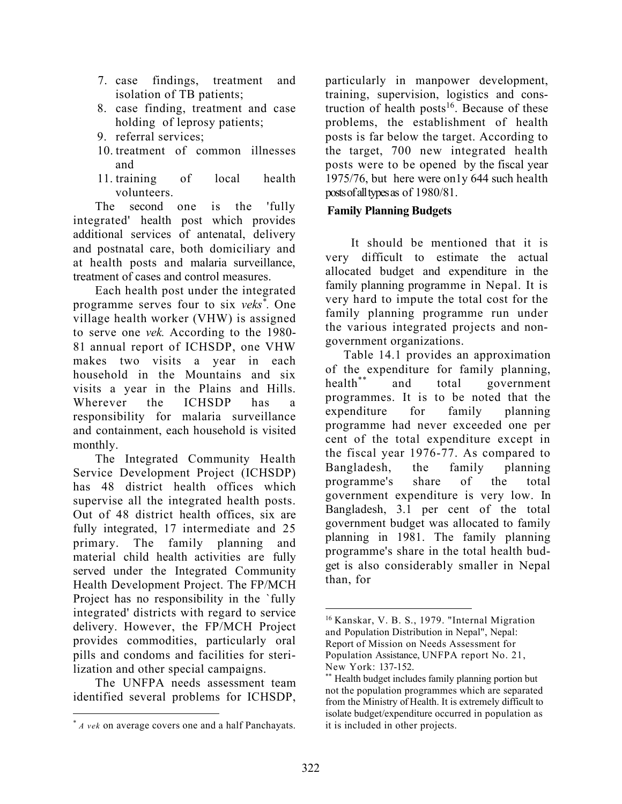- 7. case findings, treatment and isolation of TB patients;
- 8. case finding, treatment and case holding of leprosy patients;
- 9. referral services;
- 10. treatment of common illnesses and
- 11. training of local health volunteers.

The second one is the 'fully integrated' health post which provides additional services of antenatal, delivery and postnatal care, both domiciliary and at health posts and malaria surveillance, treatment of cases and control measures.

Each health post under the integrated programme serves four to six veks<sup>\*</sup>. One village health worker (VHW) is assigned to serve one vek. According to the 1980- 81 annual report of ICHSDP, one VHW makes two visits a year in each household in the Mountains and six visits a year in the Plains and Hills. Wherever the ICHSDP has a responsibility for malaria surveillance and containment, each household is visited monthly.

The Integrated Community Health Service Development Project (ICHSDP) has 48 district health offices which supervise all the integrated health posts. Out of 48 district health offices, six are fully integrated, 17 intermediate and 25 primary. The family planning and material child health activities are fully served under the Integrated Community Health Development Project. The FP/MCH Project has no responsibility in the `fully integrated' districts with regard to service delivery. However, the FP/MCH Project provides commodities, particularly oral pills and condoms and facilities for sterilization and other special campaigns.

The UNFPA needs assessment team identified several problems for ICHSDP,

particularly in manpower development, training, supervision, logistics and construction of health posts<sup>16</sup>. Because of these problems, the establishment of health posts is far below the target. According to the target, 700 new integrated health posts were to be opened by the fiscal year 1975/76, but here were on1y 644 such health posts of all types as of 1980/81.

#### Family Planning Budgets

It should be mentioned that it is very difficult to estimate the actual allocated budget and expenditure in the family planning programme in Nepal. It is very hard to impute the total cost for the family planning programme run under the various integrated projects and nongovernment organizations.

 Table 14.1 provides an approximation of the expenditure for family planning, health\*\* and total government programmes. It is to be noted that the expenditure for family planning programme had never exceeded one per cent of the total expenditure except in the fiscal year 1976-77. As compared to Bangladesh, the family planning programme's share of the total government expenditure is very low. In Bangladesh, 3.1 per cent of the total government budget was allocated to family planning in 1981. The family planning programme's share in the total health budget is also considerably smaller in Nepal than, for

<sup>\*</sup> A vek on average covers one and a half Panchayats.

<sup>16</sup> Kanskar, V. B. S., 1979. "Internal Migration and Population Distribution in Nepal", Nepal: Report of Mission on Needs Assessment for Population Assistance, UNFPA report No. 21, New York: 137-152.

<sup>\*\*</sup> Health budget includes family planning portion but not the population programmes which are separated from the Ministry of Health. It is extremely difficult to isolate budget/expenditure occurred in population as it is included in other projects.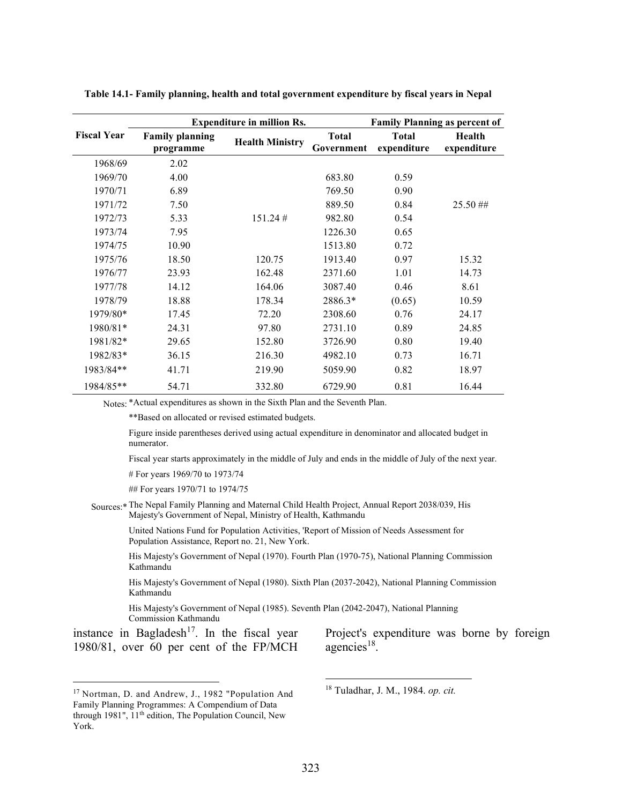|                    |                                     | <b>Expenditure in million Rs.</b> | <b>Family Planning as percent of</b> |                             |                       |
|--------------------|-------------------------------------|-----------------------------------|--------------------------------------|-----------------------------|-----------------------|
| <b>Fiscal Year</b> | <b>Family planning</b><br>programme | <b>Health Ministry</b>            | <b>Total</b><br>Government           | <b>Total</b><br>expenditure | Health<br>expenditure |
| 1968/69            | 2.02                                |                                   |                                      |                             |                       |
| 1969/70            | 4.00                                |                                   | 683.80                               | 0.59                        |                       |
| 1970/71            | 6.89                                |                                   | 769.50                               | 0.90                        |                       |
| 1971/72            | 7.50                                |                                   | 889.50                               | 0.84                        | $25.50$ ##            |
| 1972/73            | 5.33                                | $151.24 \#$                       | 982.80                               | 0.54                        |                       |
| 1973/74            | 7.95                                |                                   | 1226.30                              | 0.65                        |                       |
| 1974/75            | 10.90                               |                                   | 1513.80                              | 0.72                        |                       |
| 1975/76            | 18.50                               | 120.75                            | 1913.40                              | 0.97                        | 15.32                 |
| 1976/77            | 23.93                               | 162.48                            | 2371.60                              | 1.01                        | 14.73                 |
| 1977/78            | 14.12                               | 164.06                            | 3087.40                              | 0.46                        | 8.61                  |
| 1978/79            | 18.88                               | 178.34                            | 2886.3*                              | (0.65)                      | 10.59                 |
| 1979/80*           | 17.45                               | 72.20                             | 2308.60                              | 0.76                        | 24.17                 |
| 1980/81*           | 24.31                               | 97.80                             | 2731.10                              | 0.89                        | 24.85                 |
| 1981/82*           | 29.65                               | 152.80                            | 3726.90                              | 0.80                        | 19.40                 |
| 1982/83*           | 36.15                               | 216.30                            | 4982.10                              | 0.73                        | 16.71                 |
| 1983/84**          | 41.71                               | 219.90                            | 5059.90                              | 0.82                        | 18.97                 |
| 1984/85**          | 54.71                               | 332.80                            | 6729.90                              | 0.81                        | 16.44                 |

Table 14.1- Family planning, health and total government expenditure by fiscal years in Nepal

Notes: \*Actual expenditures as shown in the Sixth Plan and the Seventh Plan.

\*\*Based on allocated or revised estimated budgets.

Figure inside parentheses derived using actual expenditure in denominator and allocated budget in numerator.

Fiscal year starts approximately in the middle of July and ends in the middle of July of the next year.

# For years 1969/70 to 1973/74

## For years 1970/71 to 1974/75

Sources:\* The Nepal Family Planning and Maternal Child Health Project, Annual Report 2038/039, His Majesty's Government of Nepal, Ministry of Health, Kathmandu

United Nations Fund for Population Activities, 'Report of Mission of Needs Assessment for Population Assistance, Report no. 21, New York.

His Majesty's Government of Nepal (1970). Fourth Plan (1970-75), National Planning Commission Kathmandu

His Majesty's Government of Nepal (1980). Sixth Plan (2037-2042), National Planning Commission Kathmandu

His Majesty's Government of Nepal (1985). Seventh Plan (2042-2047), National Planning Commission Kathmandu

instance in Bagladesh<sup>17</sup>. In the fiscal year 1980/81, over 60 per cent of the FP/MCH Project's expenditure was borne by foreign agencies<sup>18</sup>.

18 Tuladhar, J. M., 1984. op. cit.

<sup>17</sup> Nortman, D. and Andrew, J., 1982 "Population And Family Planning Programmes: A Compendium of Data through 1981", 11<sup>th</sup> edition, The Population Council, New York.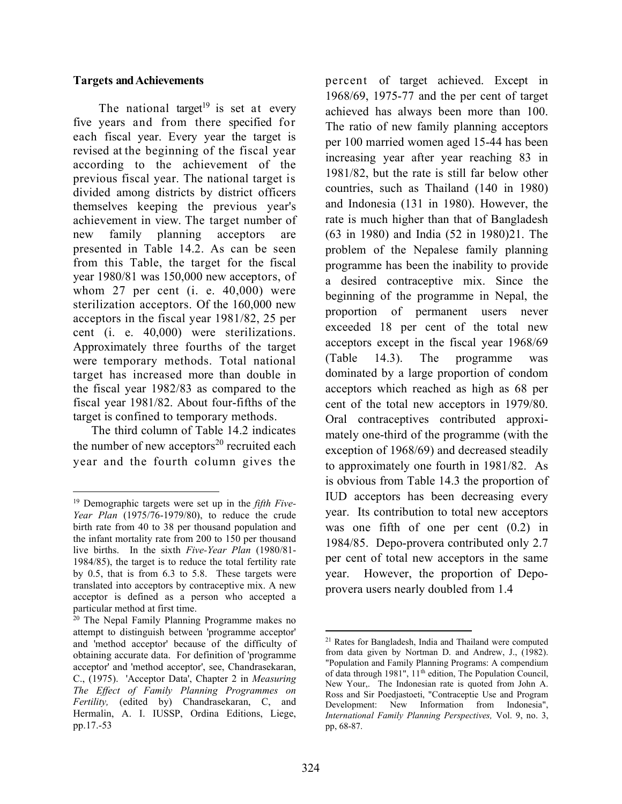#### Targets and Achievements

The national target<sup>19</sup> is set at every five years and from there specified for each fiscal year. Every year the target is revised at the beginning of the fiscal year according to the achievement of the previous fiscal year. The national target is divided among districts by district officers themselves keeping the previous year's achievement in view. The target number of new family planning acceptors are presented in Table 14.2. As can be seen from this Table, the target for the fiscal year 1980/81 was 150,000 new acceptors, of whom 27 per cent (i. e. 40,000) were sterilization acceptors. Of the 160,000 new acceptors in the fiscal year 1981/82, 25 per cent (i. e. 40,000) were sterilizations. Approximately three fourths of the target were temporary methods. Total national target has increased more than double in the fiscal year 1982/83 as compared to the fiscal year 1981/82. About four-fifths of the target is confined to temporary methods.

 The third column of Table 14.2 indicates the number of new acceptors<sup>20</sup> recruited each year and the fourth column gives the percent of target achieved. Except in 1968/69, 1975-77 and the per cent of target achieved has always been more than 100. The ratio of new family planning acceptors per 100 married women aged 15-44 has been increasing year after year reaching 83 in 1981/82, but the rate is still far below other countries, such as Thailand (140 in 1980) and Indonesia (131 in 1980). However, the rate is much higher than that of Bangladesh (63 in 1980) and India (52 in 1980)21. The problem of the Nepalese family planning programme has been the inability to provide a desired contraceptive mix. Since the beginning of the programme in Nepal, the proportion of permanent users never exceeded 18 per cent of the total new acceptors except in the fiscal year 1968/69 (Table 14.3). The programme was dominated by a large proportion of condom acceptors which reached as high as 68 per cent of the total new acceptors in 1979/80. Oral contraceptives contributed approximately one-third of the programme (with the exception of 1968/69) and decreased steadily to approximately one fourth in 1981/82. As is obvious from Table 14.3 the proportion of IUD acceptors has been decreasing every year. Its contribution to total new acceptors was one fifth of one per cent (0.2) in 1984/85. Depo-provera contributed only 2.7 per cent of total new acceptors in the same year. However, the proportion of Depoprovera users nearly doubled from 1.4

<sup>&</sup>lt;sup>19</sup> Demographic targets were set up in the *fifth Five*-Year Plan (1975/76-1979/80), to reduce the crude birth rate from 40 to 38 per thousand population and the infant mortality rate from 200 to 150 per thousand live births. In the sixth Five-Year Plan (1980/81- 1984/85), the target is to reduce the total fertility rate by 0.5, that is from 6.3 to 5.8. These targets were translated into acceptors by contraceptive mix. A new acceptor is defined as a person who accepted a particular method at first time.

<sup>20</sup> The Nepal Family Planning Programme makes no attempt to distinguish between 'programme acceptor' and 'method acceptor' because of the difficulty of obtaining accurate data. For definition of 'programme acceptor' and 'method acceptor', see, Chandrasekaran, C., (1975). 'Acceptor Data', Chapter 2 in Measuring The Effect of Family Planning Programmes on Fertility, (edited by) Chandrasekaran, C, and Hermalin, A. I. IUSSP, Ordina Editions, Liege, pp.17.-53

<sup>21</sup> Rates for Bangladesh, India and Thailand were computed from data given by Nortman D. and Andrew, J., (1982). "Population and Family Planning Programs: A compendium of data through 1981", 11<sup>th</sup> edition, The Population Council, New Your,. The Indonesian rate is quoted from John A. Ross and Sir Poedjastoeti, "Contraceptie Use and Program Development: New Information from Indonesia", International Family Planning Perspectives, Vol. 9, no. 3, pp, 68-87.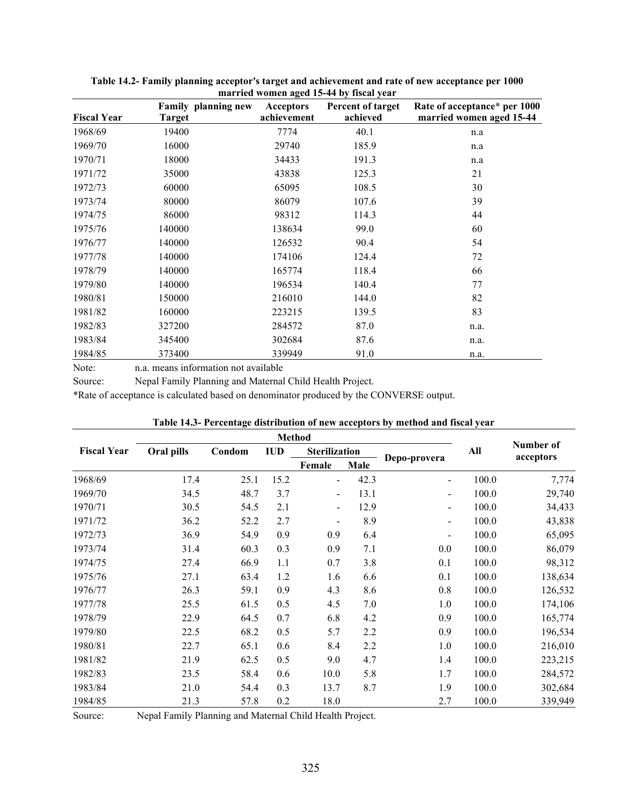|                    |        | <b>Family planning new</b> | <b>Acceptors</b> | $m$ and $m$ and $m$ and $m$ is $m$ and $m$ in $m$<br>Percent of target | Rate of acceptance* per 1000 |
|--------------------|--------|----------------------------|------------------|------------------------------------------------------------------------|------------------------------|
| <b>Fiscal Year</b> | Target |                            | achievement      | achieved                                                               | married women aged 15-44     |
| 1968/69            | 19400  |                            | 7774             | 40.1                                                                   | n.a                          |
| 1969/70            | 16000  |                            | 29740            | 185.9                                                                  | n.a                          |
| 1970/71            | 18000  |                            | 34433            | 191.3                                                                  | n.a                          |
| 1971/72            | 35000  |                            | 43838            | 125.3                                                                  | 21                           |
| 1972/73            | 60000  |                            | 65095            | 108.5                                                                  | 30                           |
| 1973/74            | 80000  |                            | 86079            | 107.6                                                                  | 39                           |
| 1974/75            | 86000  |                            | 98312            | 114.3                                                                  | 44                           |
| 1975/76            | 140000 |                            | 138634           | 99.0                                                                   | 60                           |
| 1976/77            | 140000 |                            | 126532           | 90.4                                                                   | 54                           |
| 1977/78            | 140000 |                            | 174106           | 124.4                                                                  | 72                           |
| 1978/79            | 140000 |                            | 165774           | 118.4                                                                  | 66                           |
| 1979/80            | 140000 |                            | 196534           | 140.4                                                                  | 77                           |
| 1980/81            | 150000 |                            | 216010           | 144.0                                                                  | 82                           |
| 1981/82            | 160000 |                            | 223215           | 139.5                                                                  | 83                           |
| 1982/83            | 327200 |                            | 284572           | 87.0                                                                   | n.a.                         |
| 1983/84            | 345400 |                            | 302684           | 87.6                                                                   | n.a.                         |
| 1984/85            | 373400 |                            | 339949           | 91.0                                                                   | n.a.                         |

Table 14.2- Family planning acceptor's target and achievement and rate of new acceptance per 1000 married women aged 15-44 by fiscal year

Note: n.a. means information not available

Source: Nepal Family Planning and Maternal Child Health Project.

\*Rate of acceptance is calculated based on denominator produced by the CONVERSE output.

| <b>Fiscal Year</b> | Oral pills | Condom | <b>IUD</b> | <b>Sterilization</b>     |      |                              | All   | Number of<br>acceptors |  |
|--------------------|------------|--------|------------|--------------------------|------|------------------------------|-------|------------------------|--|
|                    |            |        |            | Female                   | Male | Depo-provera                 |       |                        |  |
| 1968/69            | 17.4       | 25.1   | 15.2       | $\blacksquare$           | 42.3 |                              | 100.0 | 7,774                  |  |
| 1969/70            | 34.5       | 48.7   | 3.7        | $\overline{\phantom{a}}$ | 13.1 | ۰.                           | 100.0 | 29,740                 |  |
| 1970/71            | 30.5       | 54.5   | 2.1        | $\blacksquare$           | 12.9 | $\overline{\phantom{a}}$     | 100.0 | 34,433                 |  |
| 1971/72            | 36.2       | 52.2   | 2.7        | $\overline{\phantom{a}}$ | 8.9  | $\overline{\phantom{a}}$     | 100.0 | 43,838                 |  |
| 1972/73            | 36.9       | 54.9   | 0.9        | 0.9                      | 6.4  | $\qquad \qquad \blacksquare$ | 100.0 | 65,095                 |  |
| 1973/74            | 31.4       | 60.3   | 0.3        | 0.9                      | 7.1  | 0.0                          | 100.0 | 86,079                 |  |
| 1974/75            | 27.4       | 66.9   | 1.1        | 0.7                      | 3.8  | 0.1                          | 100.0 | 98,312                 |  |
| 1975/76            | 27.1       | 63.4   | 1.2        | 1.6                      | 6.6  | 0.1                          | 100.0 | 138,634                |  |
| 1976/77            | 26.3       | 59.1   | 0.9        | 4.3                      | 8.6  | 0.8                          | 100.0 | 126,532                |  |
| 1977/78            | 25.5       | 61.5   | 0.5        | 4.5                      | 7.0  | 1.0                          | 100.0 | 174,106                |  |
| 1978/79            | 22.9       | 64.5   | 0.7        | 6.8                      | 4.2  | 0.9                          | 100.0 | 165,774                |  |
| 1979/80            | 22.5       | 68.2   | 0.5        | 5.7                      | 2.2  | 0.9                          | 100.0 | 196,534                |  |
| 1980/81            | 22.7       | 65.1   | 0.6        | 8.4                      | 2.2  | 1.0                          | 100.0 | 216,010                |  |
| 1981/82            | 21.9       | 62.5   | 0.5        | 9.0                      | 4.7  | 1.4                          | 100.0 | 223,215                |  |
| 1982/83            | 23.5       | 58.4   | 0.6        | 10.0                     | 5.8  | 1.7                          | 100.0 | 284,572                |  |
| 1983/84            | 21.0       | 54.4   | 0.3        | 13.7                     | 8.7  | 1.9                          | 100.0 | 302,684                |  |
| 1984/85            | 21.3       | 57.8   | 0.2        | 18.0                     |      | 2.7                          | 100.0 | 339,949                |  |

Table 14.3- Percentage distribution of new acceptors by method and fiscal year

Source: Nepal Family Planning and Maternal Child Health Project.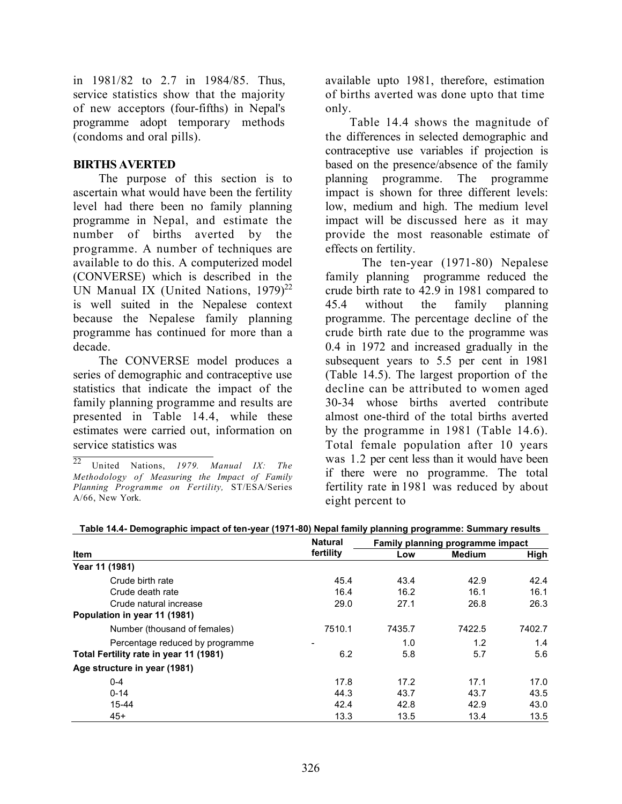in 1981/82 to 2.7 in 1984/85. Thus, service statistics show that the majority of new acceptors (four-fifths) in Nepal's programme adopt temporary methods (condoms and oral pills).

#### BIRTHS AVERTED

The purpose of this section is to ascertain what would have been the fertility level had there been no family planning programme in Nepal, and estimate the number of births averted by the programme. A number of techniques are available to do this. A computerized model (CONVERSE) which is described in the UN Manual IX (United Nations,  $1979)^{22}$ is well suited in the Nepalese context because the Nepalese family planning programme has continued for more than a decade.

The CONVERSE model produces a series of demographic and contraceptive use statistics that indicate the impact of the family planning programme and results are presented in Table 14.4, while these estimates were carried out, information on service statistics was

available upto 1981, therefore, estimation of births averted was done upto that time only.

 Table 14.4 shows the magnitude of the differences in selected demographic and contraceptive use variables if projection is based on the presence/absence of the family planning programme. The programme impact is shown for three different levels: low, medium and high. The medium level impact will be discussed here as it may provide the most reasonable estimate of effects on fertility.

The ten-year (1971-80) Nepalese family planning programme reduced the crude birth rate to 42.9 in 1981 compared to 45.4 without the family planning programme. The percentage decline of the crude birth rate due to the programme was 0.4 in 1972 and increased gradually in the subsequent years to 5.5 per cent in 1981 (Table 14.5). The largest proportion of the decline can be attributed to women aged 30-34 whose births averted contribute almost one-third of the total births averted by the programme in 1981 (Table 14.6). Total female population after 10 years was 1.2 per cent less than it would have been if there were no programme. The total fertility rate in 1981 was reduced by about eight percent to

|                                        | <b>Natural</b> |        | Family planning programme impact |        |  |  |
|----------------------------------------|----------------|--------|----------------------------------|--------|--|--|
| <b>Item</b>                            | fertility      | Low    | <b>Medium</b>                    | High   |  |  |
| Year 11 (1981)                         |                |        |                                  |        |  |  |
| Crude birth rate                       | 45.4           | 43.4   | 42.9                             | 42.4   |  |  |
| Crude death rate                       | 16.4           | 16.2   | 16.1                             | 16.1   |  |  |
| Crude natural increase                 | 29.0           | 27.1   | 26.8                             | 26.3   |  |  |
| Population in year 11 (1981)           |                |        |                                  |        |  |  |
| Number (thousand of females)           | 7510.1         | 7435.7 | 7422.5                           | 7402.7 |  |  |
| Percentage reduced by programme        |                | 1.0    | 1.2                              | 1.4    |  |  |
| Total Fertility rate in year 11 (1981) | 6.2            | 5.8    | 5.7                              | 5.6    |  |  |
| Age structure in year (1981)           |                |        |                                  |        |  |  |
| $0 - 4$                                | 17.8           | 17.2   | 17.1                             | 17.0   |  |  |
| $0 - 14$                               | 44.3           | 43.7   | 43.7                             | 43.5   |  |  |
| 15-44                                  | 42.4           | 42.8   | 42.9                             | 43.0   |  |  |
| $45+$                                  | 13.3           | 13.5   | 13.4                             | 13.5   |  |  |

Table 14.4- Demographic impact of ten-year (1971-80) Nepal family planning programme: Summary results

 $\overline{22}$  United Nations, 1979. Manual IX: The Methodology of Measuring the Impact of Family Planning Programme on Fertility, ST/ESA/Series A/66, New York.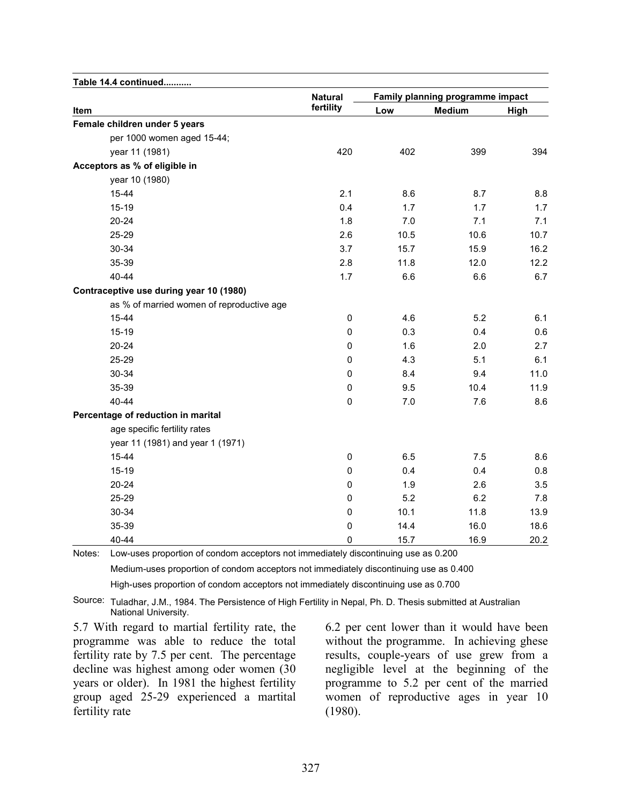| Table 14.4 continued                      |                |      |                                  |      |  |  |
|-------------------------------------------|----------------|------|----------------------------------|------|--|--|
|                                           | <b>Natural</b> |      | Family planning programme impact |      |  |  |
| Item                                      | fertility      | Low  | <b>Medium</b>                    | High |  |  |
| Female children under 5 years             |                |      |                                  |      |  |  |
| per 1000 women aged 15-44;                |                |      |                                  |      |  |  |
| year 11 (1981)                            | 420            | 402  | 399                              | 394  |  |  |
| Acceptors as % of eligible in             |                |      |                                  |      |  |  |
| year 10 (1980)                            |                |      |                                  |      |  |  |
| 15-44                                     | 2.1            | 8.6  | 8.7                              | 8.8  |  |  |
| $15 - 19$                                 | 0.4            | 1.7  | 1.7                              | 1.7  |  |  |
| 20-24                                     | 1.8            | 7.0  | 7.1                              | 7.1  |  |  |
| 25-29                                     | 2.6            | 10.5 | 10.6                             | 10.7 |  |  |
| 30-34                                     | 3.7            | 15.7 | 15.9                             | 16.2 |  |  |
| 35-39                                     | 2.8            | 11.8 | 12.0                             | 12.2 |  |  |
| 40-44                                     | 1.7            | 6.6  | 6.6                              | 6.7  |  |  |
| Contraceptive use during year 10 (1980)   |                |      |                                  |      |  |  |
| as % of married women of reproductive age |                |      |                                  |      |  |  |
| 15-44                                     | 0              | 4.6  | 5.2                              | 6.1  |  |  |
| $15 - 19$                                 | $\mathbf 0$    | 0.3  | 0.4                              | 0.6  |  |  |
| 20-24                                     | 0              | 1.6  | 2.0                              | 2.7  |  |  |
| 25-29                                     | $\pmb{0}$      | 4.3  | 5.1                              | 6.1  |  |  |
| 30-34                                     | $\mathbf 0$    | 8.4  | 9.4                              | 11.0 |  |  |
| 35-39                                     | $\mathbf 0$    | 9.5  | 10.4                             | 11.9 |  |  |
| 40-44                                     | $\pmb{0}$      | 7.0  | 7.6                              | 8.6  |  |  |
| Percentage of reduction in marital        |                |      |                                  |      |  |  |
| age specific fertility rates              |                |      |                                  |      |  |  |
| year 11 (1981) and year 1 (1971)          |                |      |                                  |      |  |  |
| 15-44                                     | 0              | 6.5  | 7.5                              | 8.6  |  |  |
| 15-19                                     | 0              | 0.4  | 0.4                              | 0.8  |  |  |
| 20-24                                     | $\pmb{0}$      | 1.9  | 2.6                              | 3.5  |  |  |
| 25-29                                     | 0              | 5.2  | 6.2                              | 7.8  |  |  |
| 30-34                                     | 0              | 10.1 | 11.8                             | 13.9 |  |  |
| 35-39                                     | 0              | 14.4 | 16.0                             | 18.6 |  |  |
| 40-44                                     | 0              | 15.7 | 16.9                             | 20.2 |  |  |

Medium-uses proportion of condom acceptors not immediately discontinuing use as 0.400

Notes: Low-uses proportion of condom acceptors not immediately discontinuing use as 0.200

High-uses proportion of condom acceptors not immediately discontinuing use as 0.700

Source: Tuladhar, J.M., 1984. The Persistence of High Fertility in Nepal, Ph. D. Thesis submitted at Australian National University.

5.7 With regard to martial fertility rate, the programme was able to reduce the total fertility rate by 7.5 per cent. The percentage decline was highest among oder women (30 years or older). In 1981 the highest fertility group aged 25-29 experienced a martital fertility rate

6.2 per cent lower than it would have been without the programme. In achieving ghese results, couple-years of use grew from a negligible level at the beginning of the programme to 5.2 per cent of the married women of reproductive ages in year 10 (1980).